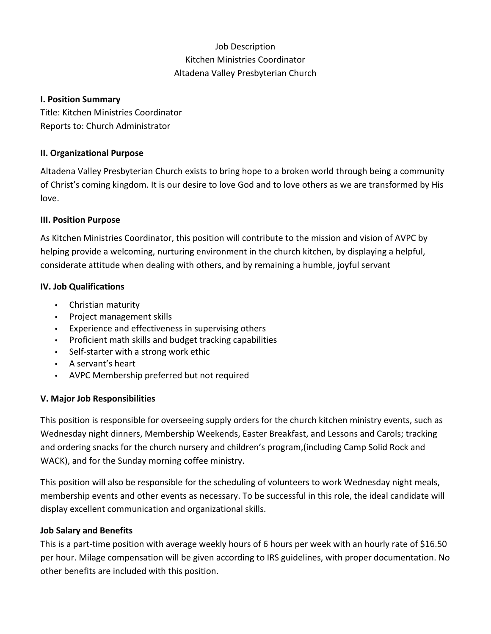## Job Description Kitchen Ministries Coordinator Altadena Valley Presbyterian Church

#### **I. Position Summary**

Title: Kitchen Ministries Coordinator Reports to: Church Administrator

## **II. Organizational Purpose**

Altadena Valley Presbyterian Church exists to bring hope to a broken world through being a community of Christ's coming kingdom. It is our desire to love God and to love others as we are transformed by His love.

## **III. Position Purpose**

As Kitchen Ministries Coordinator, this position will contribute to the mission and vision of AVPC by helping provide a welcoming, nurturing environment in the church kitchen, by displaying a helpful, considerate attitude when dealing with others, and by remaining a humble, joyful servant

## **IV. Job Qualifications**

- Christian maturity
- Project management skills
- Experience and effectiveness in supervising others
- Proficient math skills and budget tracking capabilities
- Self‐starter with a strong work ethic
- A servant's heart
- AVPC Membership preferred but not required

## **V. Major Job Responsibilities**

This position is responsible for overseeing supply orders for the church kitchen ministry events, such as Wednesday night dinners, Membership Weekends, Easter Breakfast, and Lessons and Carols; tracking and ordering snacks for the church nursery and children's program,(including Camp Solid Rock and WACK), and for the Sunday morning coffee ministry.

This position will also be responsible for the scheduling of volunteers to work Wednesday night meals, membership events and other events as necessary. To be successful in this role, the ideal candidate will display excellent communication and organizational skills.

## **Job Salary and Benefits**

This is a part-time position with average weekly hours of 6 hours per week with an hourly rate of \$16.50 per hour. Milage compensation will be given according to IRS guidelines, with proper documentation. No other benefits are included with this position.